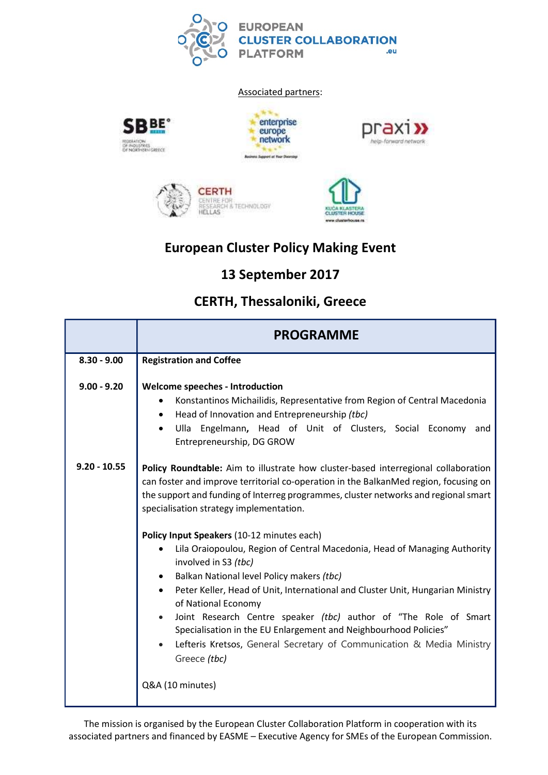

#### Associated partners:











## European Cluster Policy Making Event

# 13 September 2017

## CERTH, Thessaloniki, Greece

|                | <b>PROGRAMME</b>                                                                                                                                                                                                                                                                                             |
|----------------|--------------------------------------------------------------------------------------------------------------------------------------------------------------------------------------------------------------------------------------------------------------------------------------------------------------|
| $8.30 - 9.00$  | <b>Registration and Coffee</b>                                                                                                                                                                                                                                                                               |
| $9.00 - 9.20$  | <b>Welcome speeches - Introduction</b><br>Konstantinos Michailidis, Representative from Region of Central Macedonia<br>٠<br>Head of Innovation and Entrepreneurship (tbc)<br>Ulla Engelmann, Head of Unit of Clusters, Social Economy and<br>$\bullet$<br>Entrepreneurship, DG GROW                          |
| $9.20 - 10.55$ | Policy Roundtable: Aim to illustrate how cluster-based interregional collaboration<br>can foster and improve territorial co-operation in the BalkanMed region, focusing on<br>the support and funding of Interreg programmes, cluster networks and regional smart<br>specialisation strategy implementation. |
|                | Policy Input Speakers (10-12 minutes each)                                                                                                                                                                                                                                                                   |
|                | Lila Oraiopoulou, Region of Central Macedonia, Head of Managing Authority<br>$\bullet$<br>involved in S3 (tbc)                                                                                                                                                                                               |
|                | Balkan National level Policy makers (tbc)                                                                                                                                                                                                                                                                    |
|                | Peter Keller, Head of Unit, International and Cluster Unit, Hungarian Ministry<br>of National Economy                                                                                                                                                                                                        |
|                | Joint Research Centre speaker (tbc) author of "The Role of Smart<br>Specialisation in the EU Enlargement and Neighbourhood Policies"<br>Lefteris Kretsos, General Secretary of Communication & Media Ministry<br>$\bullet$<br>Greece (tbc)                                                                   |
|                | Q&A (10 minutes)                                                                                                                                                                                                                                                                                             |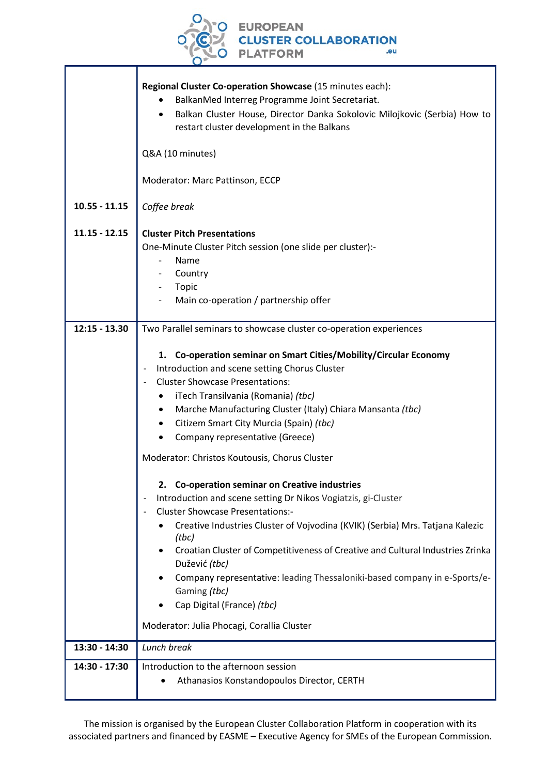

|                 | Regional Cluster Co-operation Showcase (15 minutes each):<br>BalkanMed Interreg Programme Joint Secretariat.<br>Balkan Cluster House, Director Danka Sokolovic Milojkovic (Serbia) How to<br>restart cluster development in the Balkans |
|-----------------|-----------------------------------------------------------------------------------------------------------------------------------------------------------------------------------------------------------------------------------------|
|                 | Q&A (10 minutes)                                                                                                                                                                                                                        |
|                 | Moderator: Marc Pattinson, ECCP                                                                                                                                                                                                         |
| $10.55 - 11.15$ | Coffee break                                                                                                                                                                                                                            |
| $11.15 - 12.15$ | <b>Cluster Pitch Presentations</b>                                                                                                                                                                                                      |
|                 | One-Minute Cluster Pitch session (one slide per cluster):-                                                                                                                                                                              |
|                 | Name                                                                                                                                                                                                                                    |
|                 | Country                                                                                                                                                                                                                                 |
|                 | Topic                                                                                                                                                                                                                                   |
|                 | Main co-operation / partnership offer                                                                                                                                                                                                   |
|                 |                                                                                                                                                                                                                                         |
| $12:15 - 13.30$ | Two Parallel seminars to showcase cluster co-operation experiences                                                                                                                                                                      |
|                 |                                                                                                                                                                                                                                         |
|                 | 1. Co-operation seminar on Smart Cities/Mobility/Circular Economy                                                                                                                                                                       |
|                 | Introduction and scene setting Chorus Cluster<br>$\overline{\phantom{a}}$                                                                                                                                                               |
|                 | <b>Cluster Showcase Presentations:</b><br>$\overline{\phantom{a}}$                                                                                                                                                                      |
|                 | iTech Transilvania (Romania) (tbc)<br>٠                                                                                                                                                                                                 |
|                 | Marche Manufacturing Cluster (Italy) Chiara Mansanta (tbc)<br>$\bullet$                                                                                                                                                                 |
|                 | Citizem Smart City Murcia (Spain) (tbc)                                                                                                                                                                                                 |
|                 | Company representative (Greece)                                                                                                                                                                                                         |
|                 | Moderator: Christos Koutousis, Chorus Cluster                                                                                                                                                                                           |
|                 | 2. Co-operation seminar on Creative industries                                                                                                                                                                                          |
|                 | Introduction and scene setting Dr Nikos Vogiatzis, gi-Cluster                                                                                                                                                                           |
|                 | <b>Cluster Showcase Presentations:-</b>                                                                                                                                                                                                 |
|                 | Creative Industries Cluster of Vojvodina (KVIK) (Serbia) Mrs. Tatjana Kalezic<br>(tbc)                                                                                                                                                  |
|                 | Croatian Cluster of Competitiveness of Creative and Cultural Industries Zrinka<br>Dužević (tbc)                                                                                                                                         |
|                 | Company representative: leading Thessaloniki-based company in e-Sports/e-                                                                                                                                                               |
|                 | Gaming (tbc)                                                                                                                                                                                                                            |
|                 | Cap Digital (France) (tbc)                                                                                                                                                                                                              |
|                 |                                                                                                                                                                                                                                         |
|                 | Moderator: Julia Phocagi, Corallia Cluster                                                                                                                                                                                              |
| 13:30 - 14:30   | Lunch break                                                                                                                                                                                                                             |
| 14:30 - 17:30   | Introduction to the afternoon session                                                                                                                                                                                                   |
|                 | Athanasios Konstandopoulos Director, CERTH                                                                                                                                                                                              |
|                 |                                                                                                                                                                                                                                         |

The mission is organised by the European Cluster Collaboration Platform in cooperation with its associated partners and financed by EASME – Executive Agency for SMEs of the European Commission.